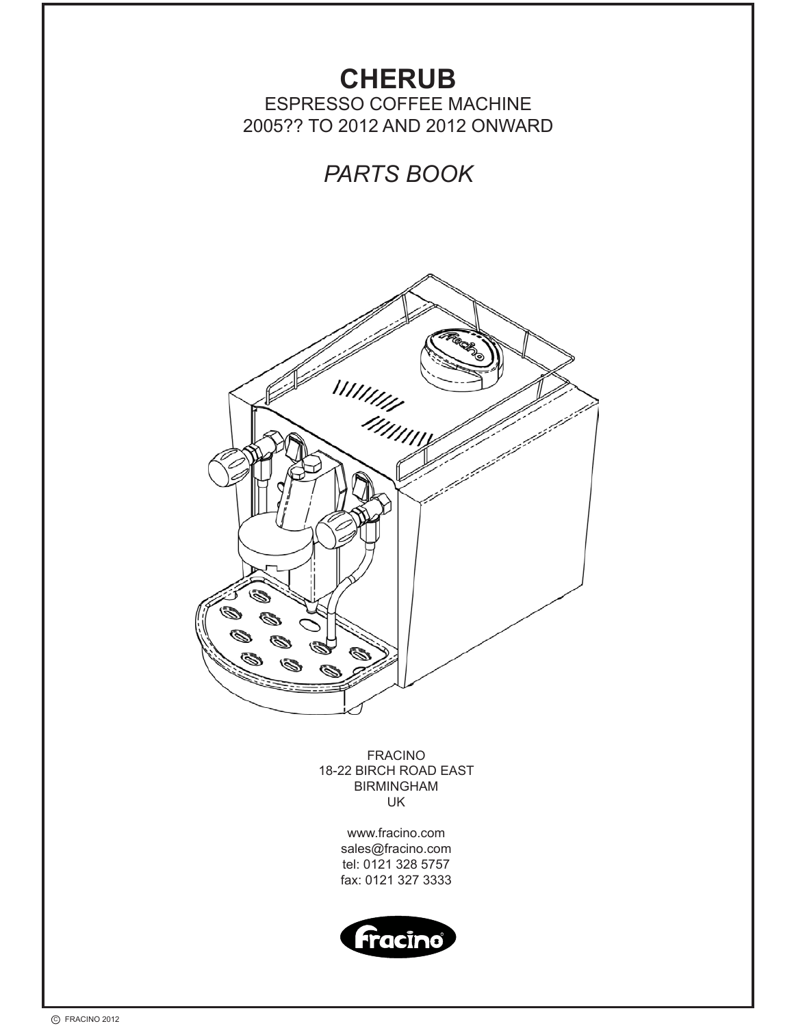

C FRACINO 2012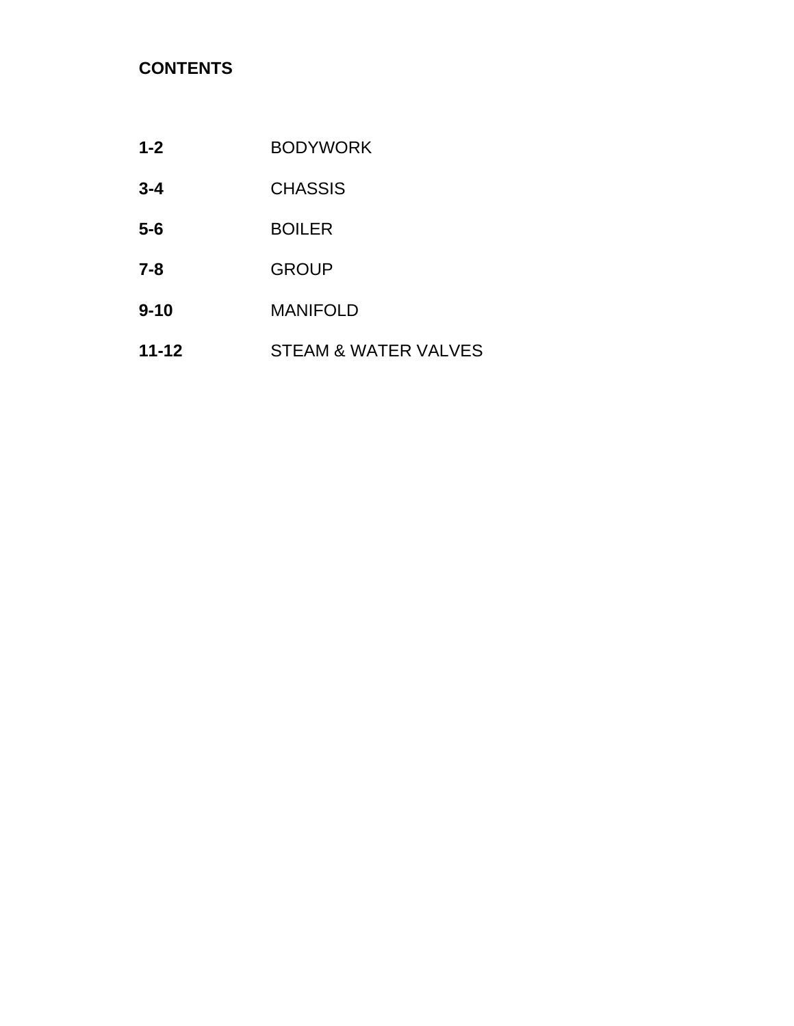# **CONTENTS**

| $1 - 2$   | <b>BODYWORK</b>      |
|-----------|----------------------|
| $3 - 4$   | <b>CHASSIS</b>       |
| $5-6$     | <b>BOILER</b>        |
| $7 - 8$   | <b>GROUP</b>         |
| $9 - 10$  | <b>MANIFOLD</b>      |
| $11 - 12$ | STEAM & WATER VALVES |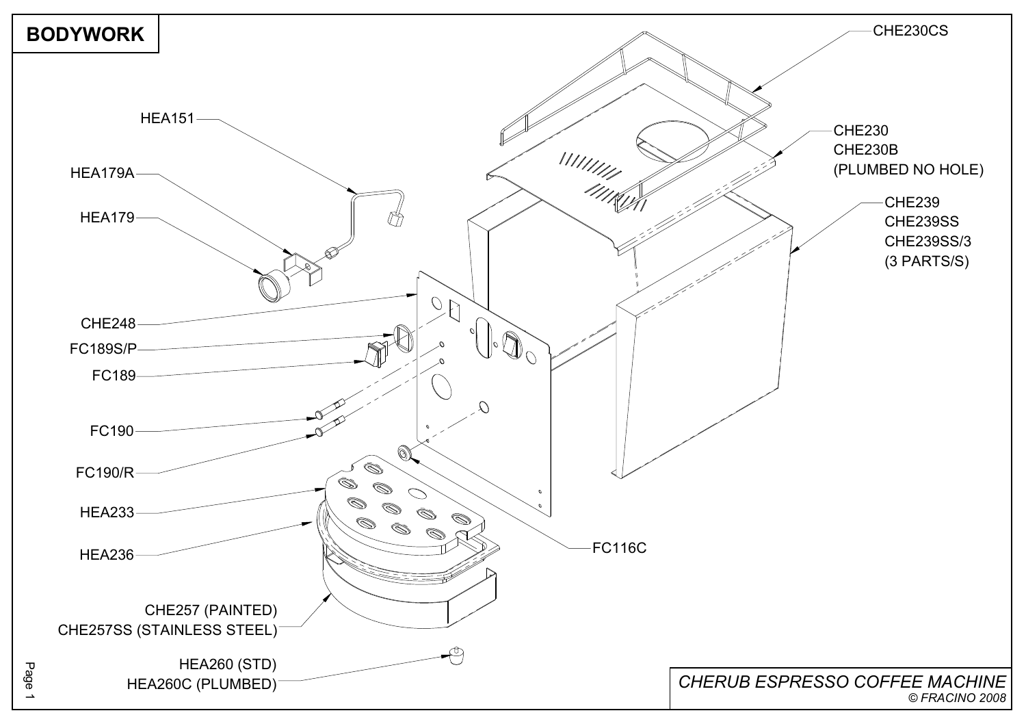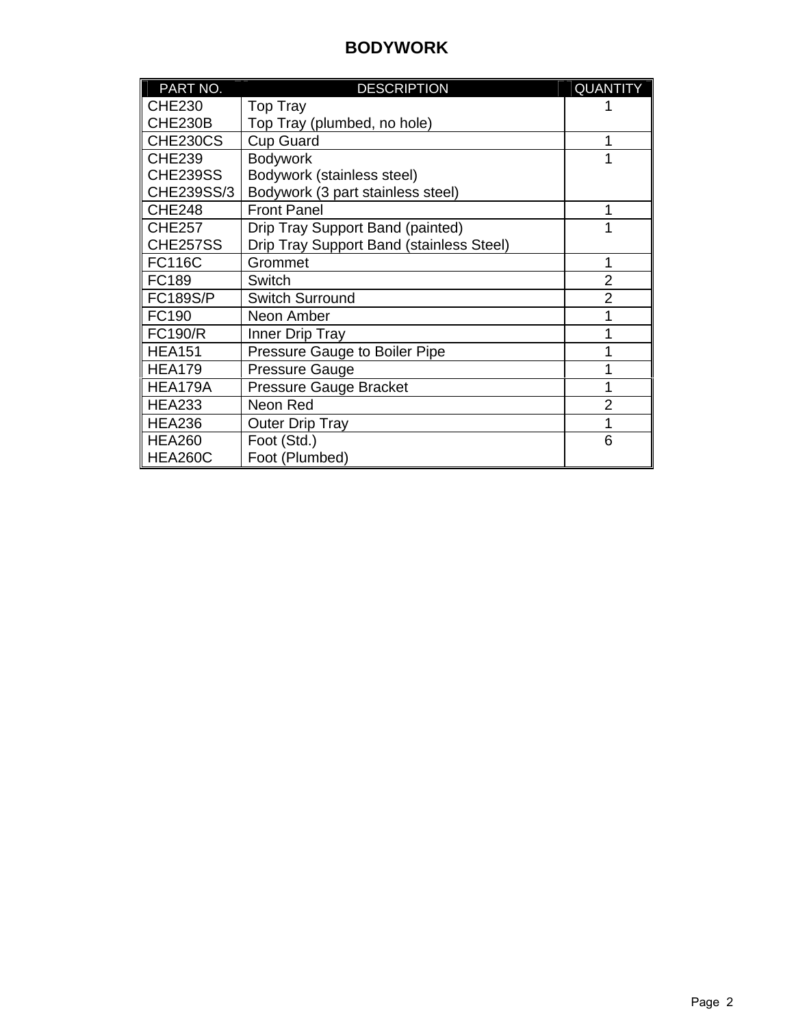### **BODYWORK**

| PART NO.        | <b>DESCRIPTION</b>                              | <b>QUANTITY</b> |
|-----------------|-------------------------------------------------|-----------------|
| <b>CHE230</b>   | <b>Top Tray</b>                                 |                 |
| <b>CHE230B</b>  | Top Tray (plumbed, no hole)                     |                 |
| CHE230CS        | <b>Cup Guard</b>                                | 1               |
| <b>CHE239</b>   | <b>Bodywork</b>                                 |                 |
| <b>CHE239SS</b> | Bodywork (stainless steel)                      |                 |
| CHE239SS/3      | Bodywork (3 part stainless steel)               |                 |
| <b>CHE248</b>   | <b>Front Panel</b>                              | 1               |
| <b>CHE257</b>   | Drip Tray Support Band (painted)                |                 |
| CHE257SS        | <b>Drip Tray Support Band (stainless Steel)</b> |                 |
| <b>FC116C</b>   | Grommet                                         | 1               |
| FC189           | <b>Switch</b>                                   | $\overline{2}$  |
| <b>FC189S/P</b> | <b>Switch Surround</b>                          | $\overline{2}$  |
| FC190           | Neon Amber                                      |                 |
| <b>FC190/R</b>  | Inner Drip Tray                                 |                 |
| <b>HEA151</b>   | Pressure Gauge to Boiler Pipe                   |                 |
| <b>HEA179</b>   | <b>Pressure Gauge</b>                           |                 |
| HEA179A         | <b>Pressure Gauge Bracket</b>                   |                 |
| <b>HEA233</b>   | Neon Red                                        | $\overline{2}$  |
| <b>HEA236</b>   | <b>Outer Drip Tray</b>                          | 1               |
| <b>HEA260</b>   | Foot (Std.)                                     | 6               |
| <b>HEA260C</b>  | Foot (Plumbed)                                  |                 |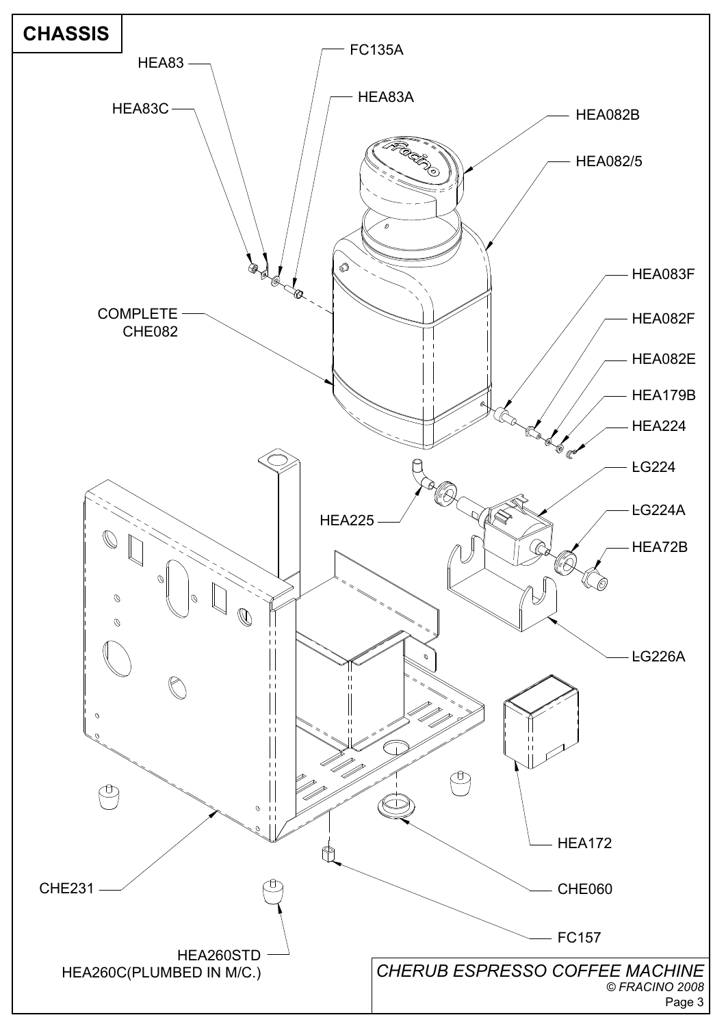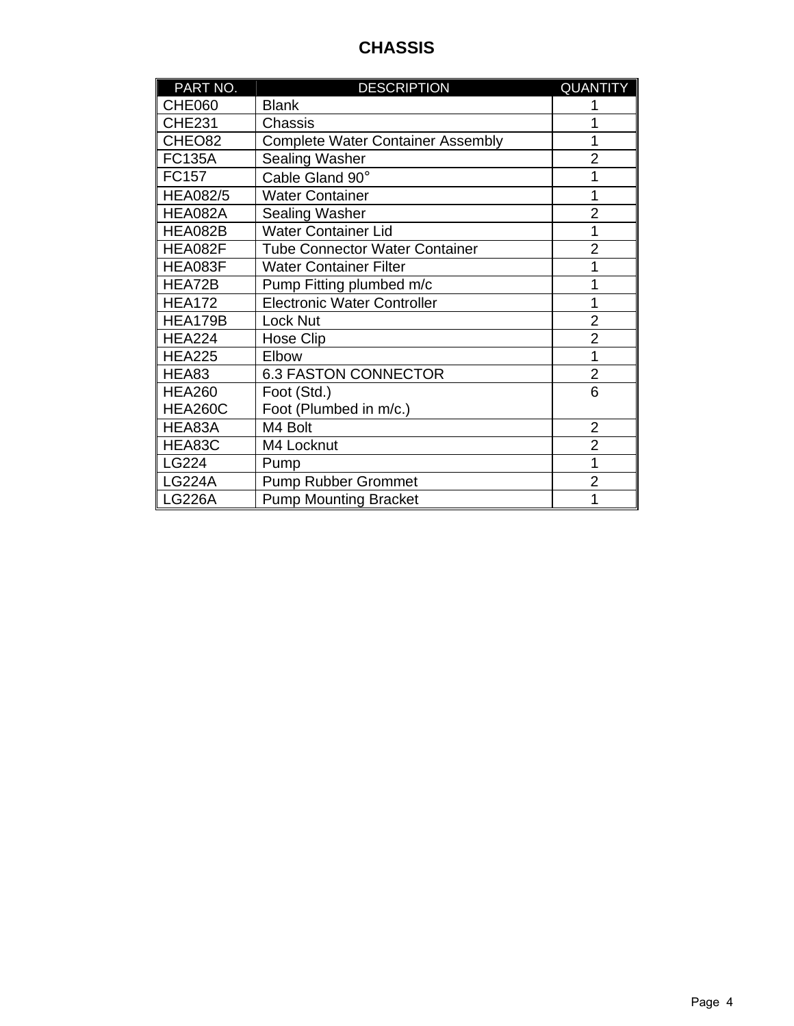## **CHASSIS**

| PART NO.        | <b>DESCRIPTION</b>                       | <b>QUANTITY</b> |
|-----------------|------------------------------------------|-----------------|
| <b>CHE060</b>   | <b>Blank</b>                             |                 |
| <b>CHE231</b>   | Chassis                                  |                 |
| CHEO82          | <b>Complete Water Container Assembly</b> | 1               |
| <b>FC135A</b>   | Sealing Washer                           | $\overline{2}$  |
| FC157           | Cable Gland 90°                          | 1               |
| <b>HEA082/5</b> | <b>Water Container</b>                   | 1               |
| HEA082A         | <b>Sealing Washer</b>                    | $\overline{2}$  |
| HEA082B         | <b>Water Container Lid</b>               | 1               |
| HEA082F         | <b>Tube Connector Water Container</b>    | $\overline{2}$  |
| HEA083F         | <b>Water Container Filter</b>            | 1               |
| HEA72B          | Pump Fitting plumbed m/c                 | 1               |
| <b>HEA172</b>   | <b>Electronic Water Controller</b>       | 1               |
| HEA179B         | Lock Nut                                 | $\overline{2}$  |
| <b>HEA224</b>   | Hose Clip                                | $\overline{2}$  |
| <b>HEA225</b>   | Elbow                                    | 1               |
| HEA83           | <b>6.3 FASTON CONNECTOR</b>              | $\overline{2}$  |
| <b>HEA260</b>   | Foot (Std.)                              | 6               |
| <b>HEA260C</b>  | Foot (Plumbed in m/c.)                   |                 |
| HEA83A          | M4 Bolt                                  | $\overline{2}$  |
| HEA83C          | M4 Locknut                               | $\overline{2}$  |
| LG224           | Pump                                     | 1               |
| <b>LG224A</b>   | <b>Pump Rubber Grommet</b>               | $\overline{2}$  |
| <b>LG226A</b>   | <b>Pump Mounting Bracket</b>             | 1               |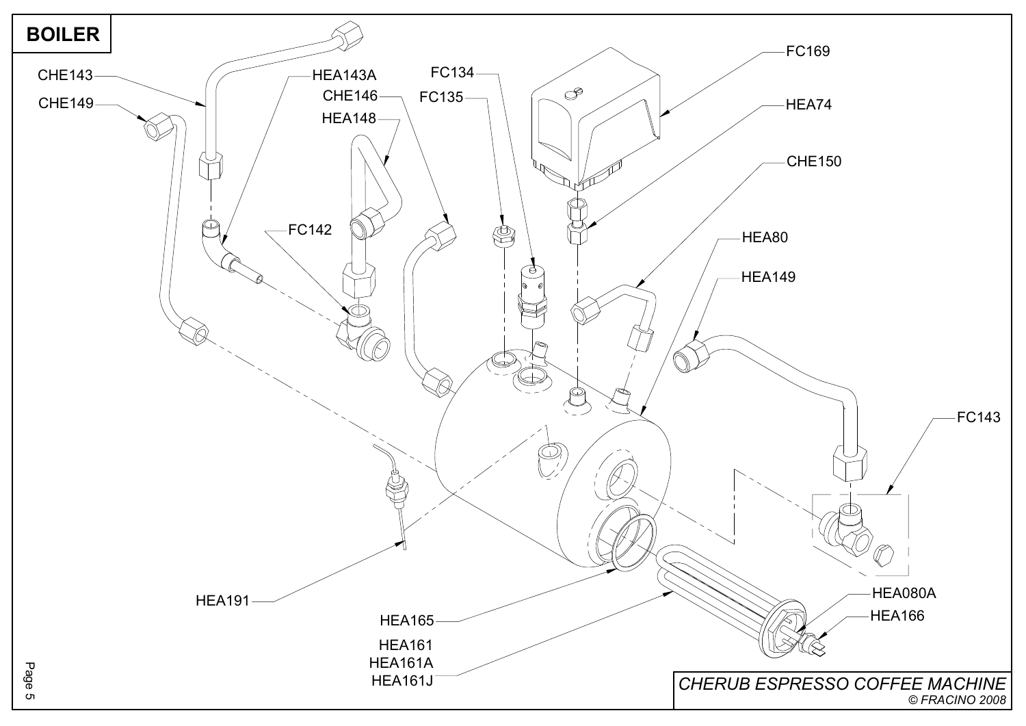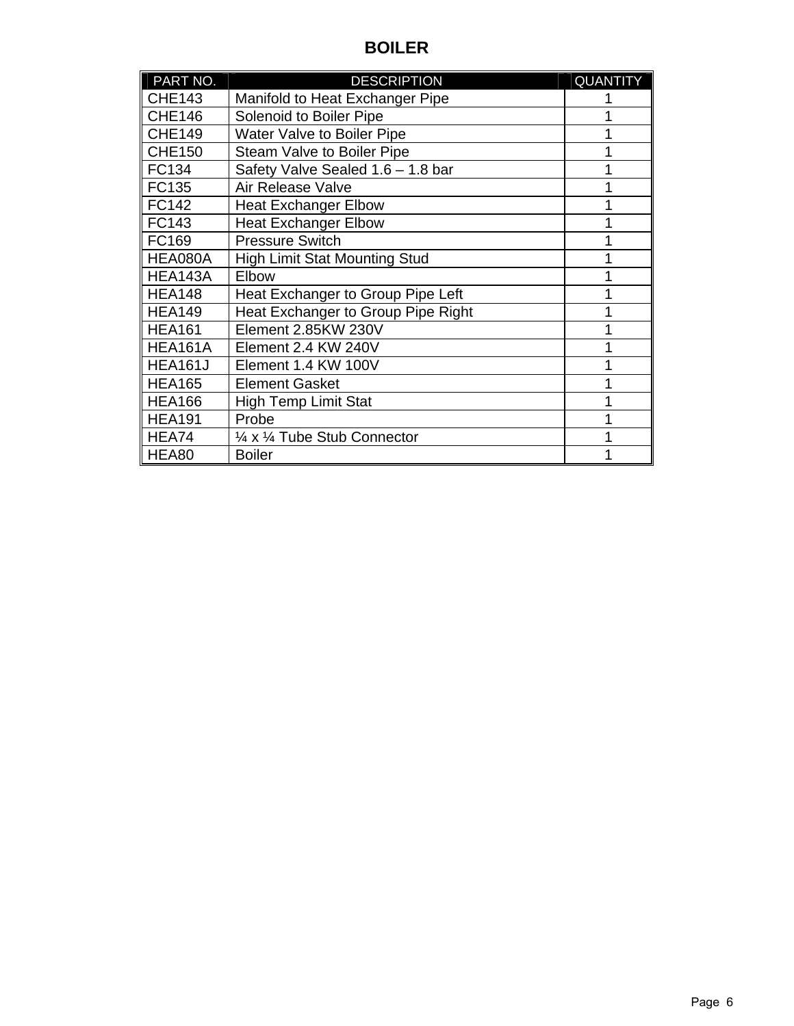## **BOILER**

| PART NO.       | <b>DESCRIPTION</b>                   | <b>QUANTITY</b> |
|----------------|--------------------------------------|-----------------|
| <b>CHE143</b>  | Manifold to Heat Exchanger Pipe      |                 |
| <b>CHE146</b>  | Solenoid to Boiler Pipe              |                 |
| <b>CHE149</b>  | Water Valve to Boiler Pipe           |                 |
| <b>CHE150</b>  | Steam Valve to Boiler Pipe           |                 |
| FC134          | Safety Valve Sealed 1.6 - 1.8 bar    |                 |
| FC135          | <b>Air Release Valve</b>             |                 |
| FC142          | <b>Heat Exchanger Elbow</b>          |                 |
| FC143          | <b>Heat Exchanger Elbow</b>          |                 |
| FC169          | <b>Pressure Switch</b>               |                 |
| HEA080A        | <b>High Limit Stat Mounting Stud</b> |                 |
| HEA143A        | Elbow                                |                 |
| <b>HEA148</b>  | Heat Exchanger to Group Pipe Left    |                 |
| <b>HEA149</b>  | Heat Exchanger to Group Pipe Right   |                 |
| <b>HEA161</b>  | Element 2.85KW 230V                  |                 |
| HEA161A        | Element 2.4 KW 240V                  |                 |
| <b>HEA161J</b> | Element 1.4 KW 100V                  |                 |
| <b>HEA165</b>  | <b>Element Gasket</b>                |                 |
| <b>HEA166</b>  | <b>High Temp Limit Stat</b>          |                 |
| <b>HEA191</b>  | Probe                                |                 |
| HEA74          | 1/4 x 1/4 Tube Stub Connector        |                 |
| HEA80          | <b>Boiler</b>                        |                 |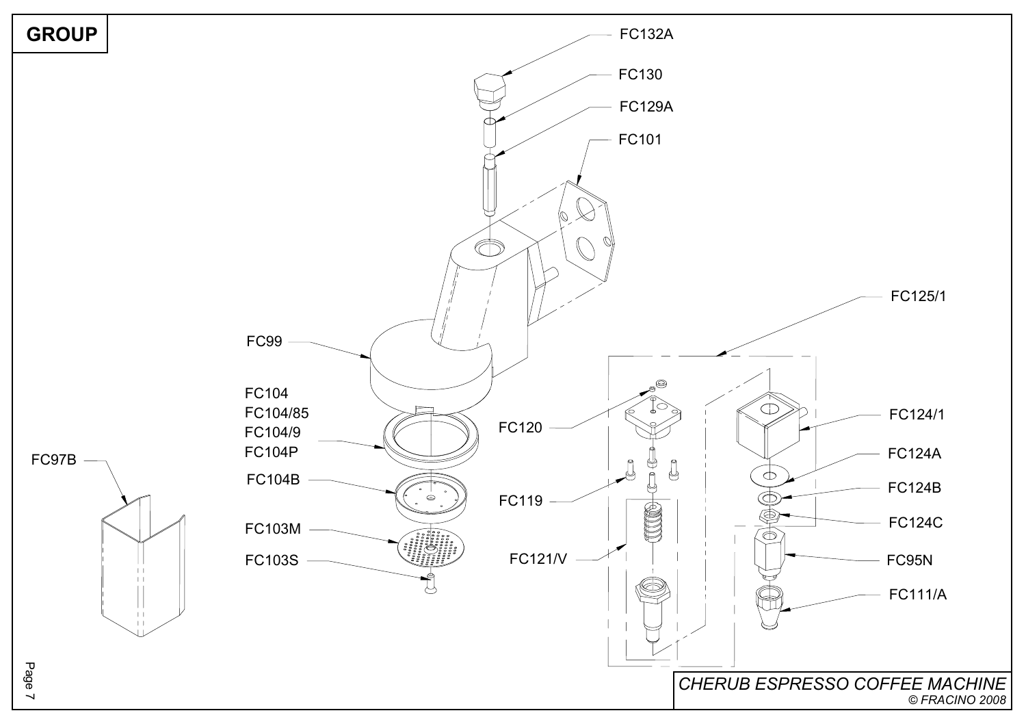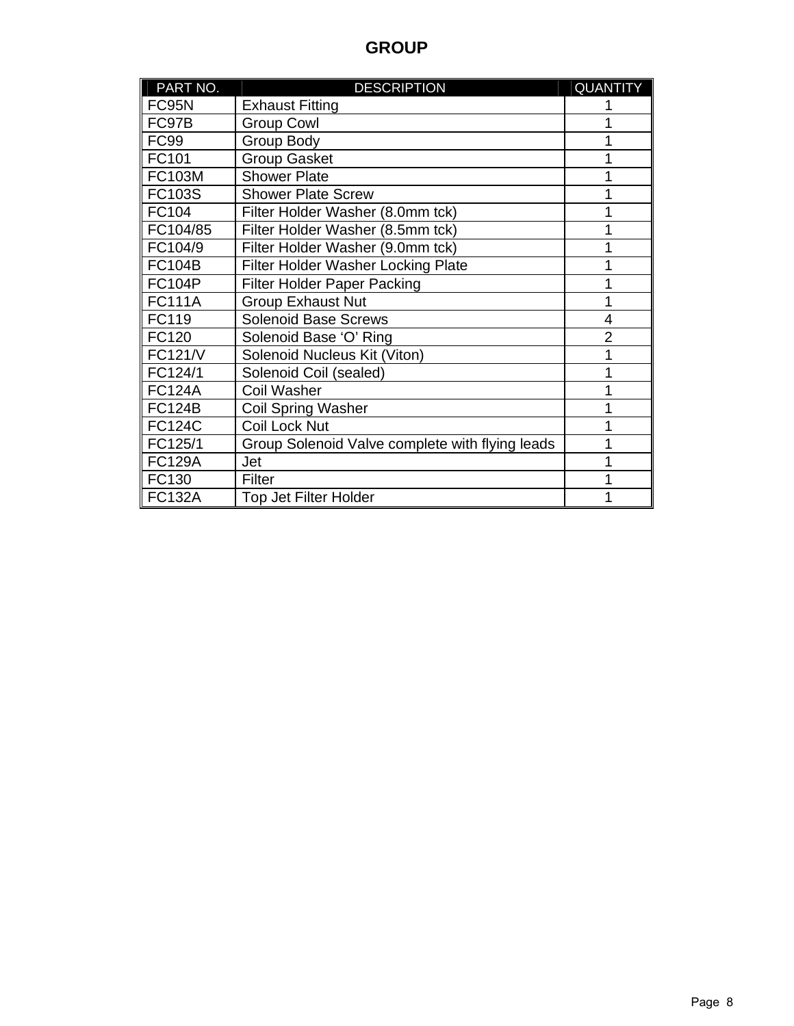### **GROUP**

| PART NO.       | <b>DESCRIPTION</b>                              | <b>QUANTITY</b> |
|----------------|-------------------------------------------------|-----------------|
| FC95N          | <b>Exhaust Fitting</b>                          |                 |
| FC97B          | <b>Group Cowl</b>                               |                 |
| <b>FC99</b>    | <b>Group Body</b>                               |                 |
| FC101          | <b>Group Gasket</b>                             |                 |
| <b>FC103M</b>  | <b>Shower Plate</b>                             |                 |
| <b>FC103S</b>  | <b>Shower Plate Screw</b>                       | 1               |
| FC104          | Filter Holder Washer (8.0mm tck)                | 1               |
| FC104/85       | Filter Holder Washer (8.5mm tck)                | 1               |
| FC104/9        | Filter Holder Washer (9.0mm tck)                | 1               |
| <b>FC104B</b>  | <b>Filter Holder Washer Locking Plate</b>       | 1               |
| <b>FC104P</b>  | <b>Filter Holder Paper Packing</b>              | 1               |
| <b>FC111A</b>  | <b>Group Exhaust Nut</b>                        | 1               |
| FC119          | <b>Solenoid Base Screws</b>                     | 4               |
| FC120          | Solenoid Base 'O' Ring                          | $\overline{2}$  |
| <b>FC121/V</b> | Solenoid Nucleus Kit (Viton)                    | 1               |
| FC124/1        | Solenoid Coil (sealed)                          | 1               |
| <b>FC124A</b>  | <b>Coil Washer</b>                              | 1               |
| <b>FC124B</b>  | <b>Coil Spring Washer</b>                       | 1               |
| <b>FC124C</b>  | Coil Lock Nut                                   | 1               |
| FC125/1        | Group Solenoid Valve complete with flying leads | 1               |
| <b>FC129A</b>  | Jet                                             | 1               |
| FC130          | <b>Filter</b>                                   |                 |
| ∥ FC132A       | <b>Top Jet Filter Holder</b>                    | 1               |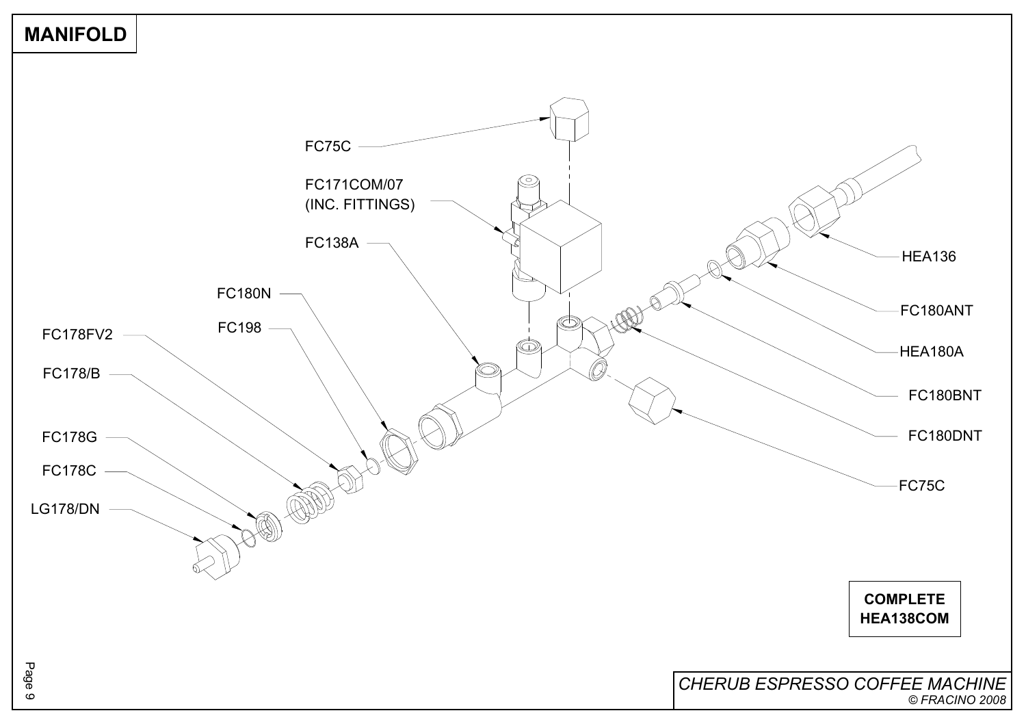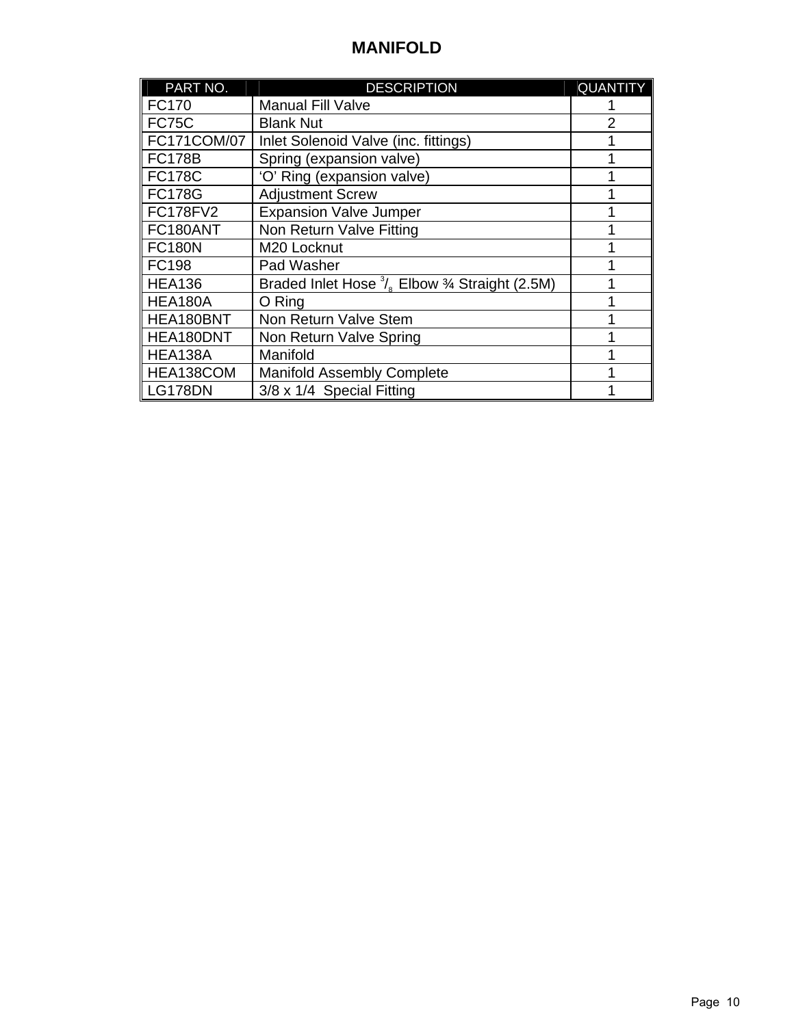## **MANIFOLD**

| PART NO.        | <b>DESCRIPTION</b>                                                                              | <b>QUANTITY</b> |
|-----------------|-------------------------------------------------------------------------------------------------|-----------------|
| <b>FC170</b>    | <b>Manual Fill Valve</b>                                                                        |                 |
| <b>FC75C</b>    | <b>Blank Nut</b>                                                                                | $\overline{2}$  |
| FC171COM/07     | Inlet Solenoid Valve (inc. fittings)                                                            | 1               |
| <b>FC178B</b>   | Spring (expansion valve)                                                                        | 1               |
| <b>FC178C</b>   | 'O' Ring (expansion valve)                                                                      | 1               |
| <b>FC178G</b>   | <b>Adjustment Screw</b>                                                                         |                 |
| <b>FC178FV2</b> | <b>Expansion Valve Jumper</b>                                                                   |                 |
| FC180ANT        | Non Return Valve Fitting                                                                        |                 |
| <b>FC180N</b>   | M20 Locknut                                                                                     |                 |
| <b>FC198</b>    | Pad Washer                                                                                      |                 |
| <b>HEA136</b>   | Braded Inlet Hose <sup>3</sup> / <sub>c</sub> Elbow <sup>3</sup> / <sub>4</sub> Straight (2.5M) |                 |
| HEA180A         | O Ring                                                                                          |                 |
| HEA180BNT       | Non Return Valve Stem                                                                           |                 |
| HEA180DNT       | Non Return Valve Spring                                                                         | 1               |
| HEA138A         | Manifold                                                                                        | 1               |
| HEA138COM       | <b>Manifold Assembly Complete</b>                                                               |                 |
| <b>LG178DN</b>  | 3/8 x 1/4 Special Fitting                                                                       |                 |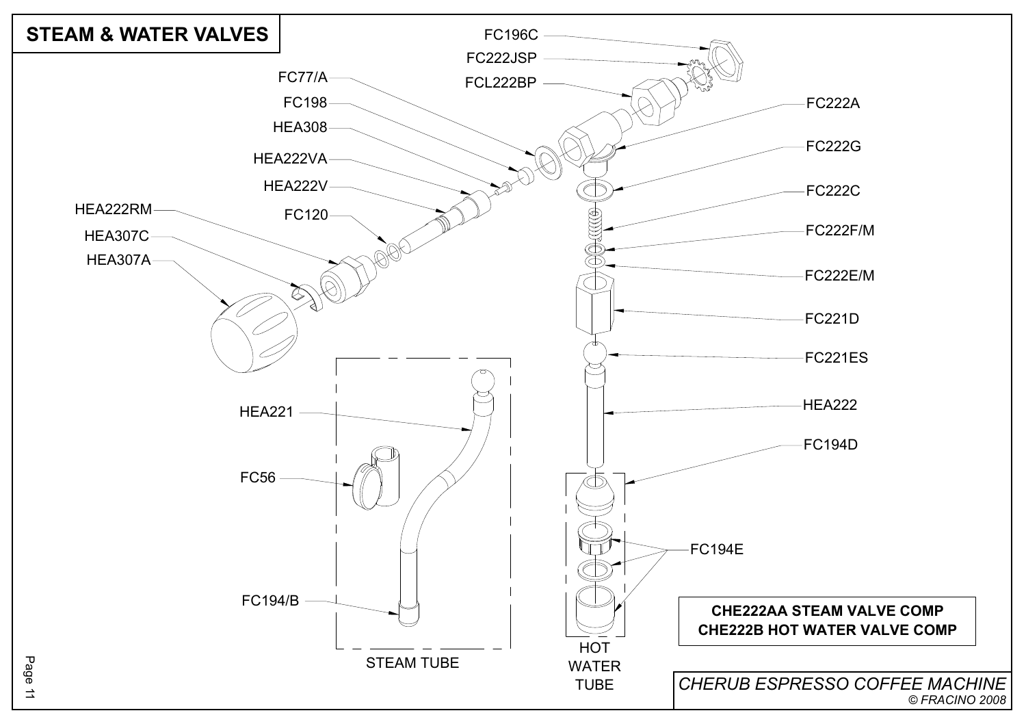